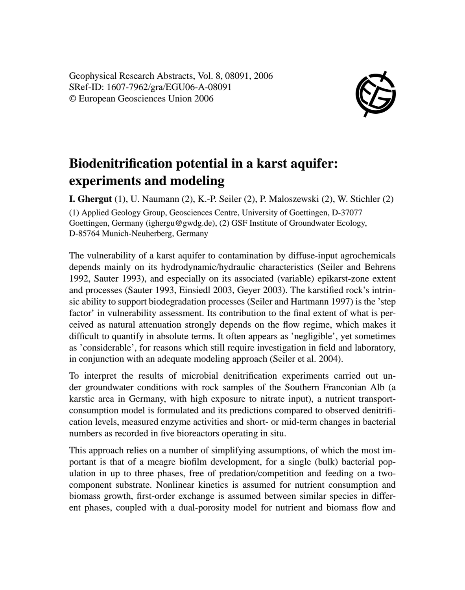Geophysical Research Abstracts, Vol. 8, 08091, 2006 SRef-ID: 1607-7962/gra/EGU06-A-08091 © European Geosciences Union 2006



## **Biodenitrification potential in a karst aquifer: experiments and modeling**

**I. Ghergut** (1), U. Naumann (2), K.-P. Seiler (2), P. Maloszewski (2), W. Stichler (2) (1) Applied Geology Group, Geosciences Centre, University of Goettingen, D-37077 Goettingen, Germany (ighergu@gwdg.de), (2) GSF Institute of Groundwater Ecology, D-85764 Munich-Neuherberg, Germany

The vulnerability of a karst aquifer to contamination by diffuse-input agrochemicals depends mainly on its hydrodynamic/hydraulic characteristics (Seiler and Behrens 1992, Sauter 1993), and especially on its associated (variable) epikarst-zone extent and processes (Sauter 1993, Einsiedl 2003, Geyer 2003). The karstified rock's intrinsic ability to support biodegradation processes (Seiler and Hartmann 1997) is the 'step factor' in vulnerability assessment. Its contribution to the final extent of what is perceived as natural attenuation strongly depends on the flow regime, which makes it difficult to quantify in absolute terms. It often appears as 'negligible', yet sometimes as 'considerable', for reasons which still require investigation in field and laboratory, in conjunction with an adequate modeling approach (Seiler et al. 2004).

To interpret the results of microbial denitrification experiments carried out under groundwater conditions with rock samples of the Southern Franconian Alb (a karstic area in Germany, with high exposure to nitrate input), a nutrient transportconsumption model is formulated and its predictions compared to observed denitrification levels, measured enzyme activities and short- or mid-term changes in bacterial numbers as recorded in five bioreactors operating in situ.

This approach relies on a number of simplifying assumptions, of which the most important is that of a meagre biofilm development, for a single (bulk) bacterial population in up to three phases, free of predation/competition and feeding on a twocomponent substrate. Nonlinear kinetics is assumed for nutrient consumption and biomass growth, first-order exchange is assumed between similar species in different phases, coupled with a dual-porosity model for nutrient and biomass flow and